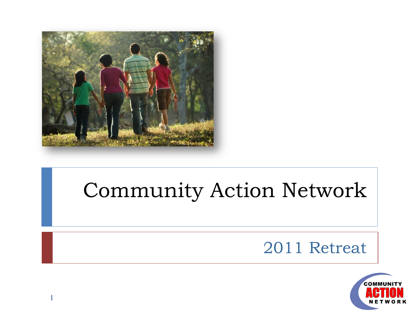

1

#### Community Action Network

#### 2011 Retreat

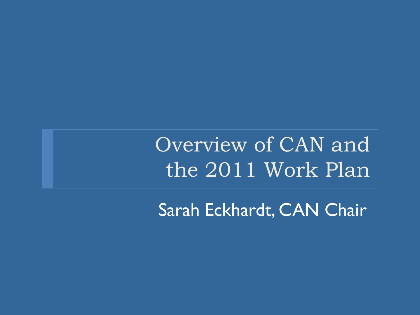Overview of CAN and the 2011 Work Plan

Sarah Eckhardt, CAN Chair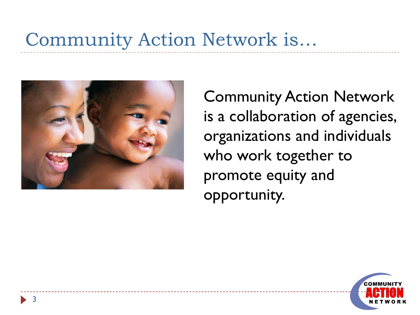#### Community Action Network is…



3

Community Action Network is a collaboration of agencies, organizations and individuals who work together to promote equity and opportunity.

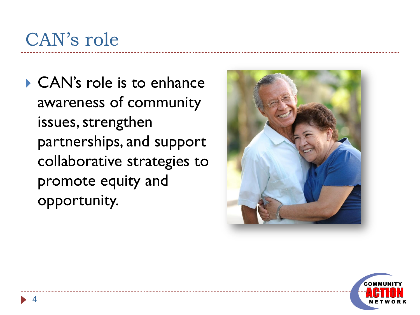#### CAN's role

▶ CAN's role is to enhance awareness of community issues, strengthen partnerships, and support collaborative strategies to promote equity and opportunity.



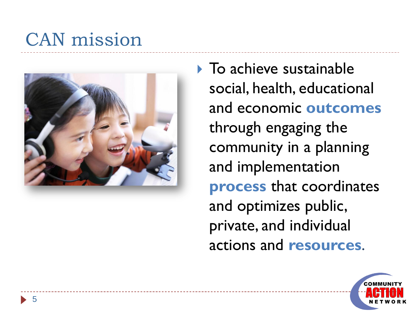#### CAN mission



▶ To achieve sustainable social, health, educational and economic **outcomes** through engaging the community in a planning and implementation **process** that coordinates and optimizes public, private, and individual actions and **resources**.

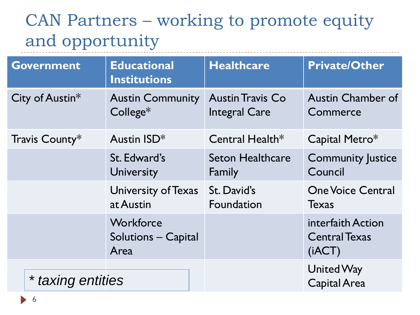#### CAN Partners – working to promote equity and opportunity ------------------------

| <b>Government</b> | <b>Educational</b><br><b>Institutions</b> | <b>Healthcare</b>                               | <b>Private/Other</b>                                |
|-------------------|-------------------------------------------|-------------------------------------------------|-----------------------------------------------------|
| City of Austin*   | <b>Austin Community</b><br>$College*$     | <b>Austin Travis Co</b><br><b>Integral Care</b> | <b>Austin Chamber of</b><br>Commerce                |
| Travis County*    | Austin ISD*                               | Central Health $*$                              | Capital Metro*                                      |
|                   | St. Edward's<br><b>University</b>         | <b>Seton Healthcare</b><br>Family               | <b>Community Justice</b><br>Council                 |
|                   | University of Texas<br>at Austin          | St. David's<br>Foundation                       | <b>One Voice Central</b><br><b>Texas</b>            |
|                   | Workforce<br>Solutions - Capital<br>Area  |                                                 | interfaith Action<br><b>Central Texas</b><br>(iACT) |
| * taxing entities |                                           |                                                 | <b>United Way</b><br><b>Capital Area</b>            |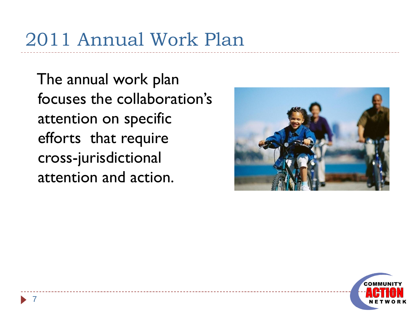# 2011 Annual Work Plan

The annual work plan focuses the collaboration's attention on specific efforts that require cross-jurisdictional attention and action.



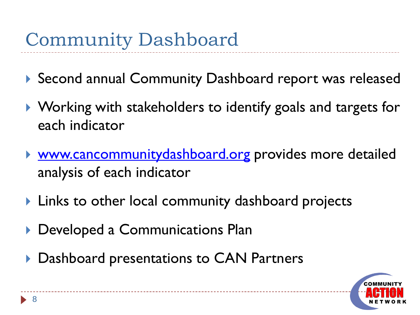- ▶ Second annual Community Dashboard report was released
- ▶ Working with stakeholders to identify goals and targets for each indicator
- ▶ [www.cancommunitydashboard.org](http://www.cancommunitydashboard.org/) provides more detailed analysis of each indicator
- ▶ Links to other local community dashboard projects
- Developed a Communications Plan
- ▶ Dashboard presentations to CAN Partners

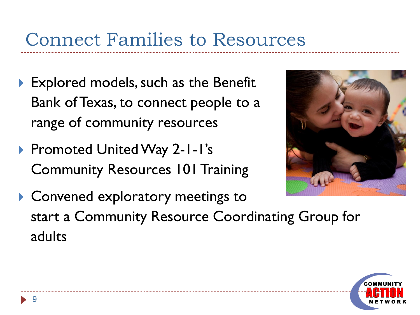#### Connect Families to Resources

- ▶ Explored models, such as the Benefit Bank of Texas, to connect people to a range of community resources
- ▶ Promoted United Way 2-1-1's Community Resources 101 Training



▶ Convened exploratory meetings to start a Community Resource Coordinating Group for adults

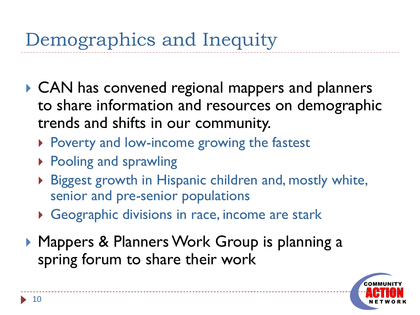- ▶ CAN has convened regional mappers and planners to share information and resources on demographic trends and shifts in our community.
	- ▶ Poverty and low-income growing the fastest
	- ▶ Pooling and sprawling
	- ▶ Biggest growth in Hispanic children and, mostly white, senior and pre-senior populations
	- Geographic divisions in race, income are stark
- ▶ Mappers & Planners Work Group is planning a spring forum to share their work

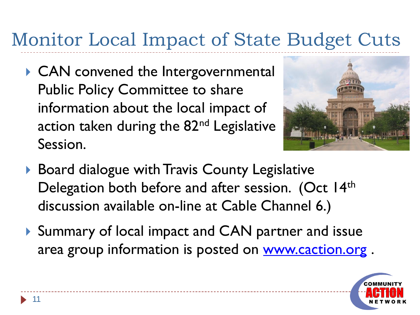# Monitor Local Impact of State Budget Cuts

▶ CAN convened the Intergovernmental Public Policy Committee to share information about the local impact of action taken during the 82<sup>nd</sup> Legislative Session.



- ▶ Board dialogue with Travis County Legislative Delegation both before and after session. (Oct 14th discussion available on-line at Cable Channel 6.)
- ▶ Summary of local impact and CAN partner and issue area group information is posted on [www.caction.org](http://www.caction.org/).

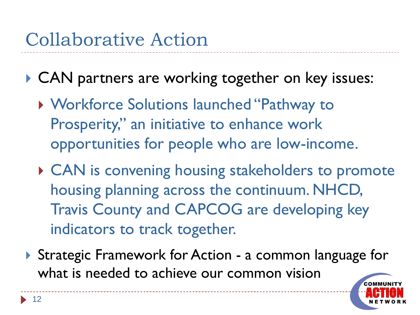- ▶ CAN partners are working together on key issues:
	- Workforce Solutions launched "Pathway to Prosperity," an initiative to enhance work opportunities for people who are low-income.
	- ▶ CAN is convening housing stakeholders to promote housing planning across the continuum. NHCD, Travis County and CAPCOG are developing key indicators to track together.
- ▶ Strategic Framework for Action a common language for what is needed to achieve our common vision

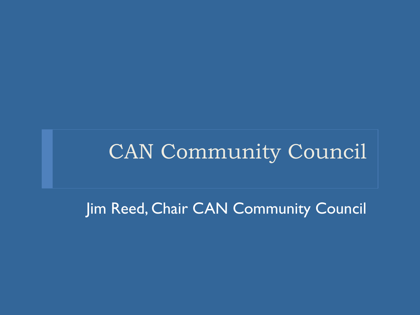#### CAN Community Council

Jim Reed, Chair CAN Community Council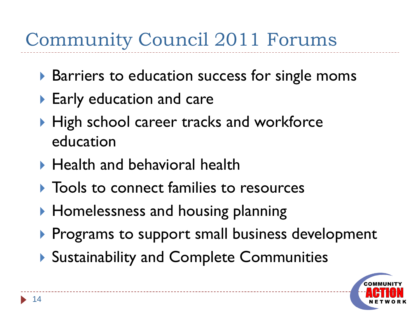### Community Council 2011 Forums

- ▶ Barriers to education success for single moms
- ▶ Early education and care
- $\blacktriangleright$  High school career tracks and workforce education
- ▶ Health and behavioral health
- **Tools to connect families to resources**
- ▶ Homelessness and housing planning
- Programs to support small business development
- ▶ Sustainability and Complete Communities

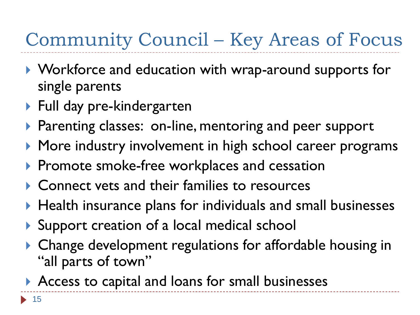### Community Council – Key Areas of Focus

- ▶ Workforce and education with wrap-around supports for single parents
- ▶ Full day pre-kindergarten
- ▶ Parenting classes: on-line, mentoring and peer support
- ▶ More industry involvement in high school career programs
- Promote smoke-free workplaces and cessation
- ▶ Connect vets and their families to resources
- $\blacktriangleright$  Health insurance plans for individuals and small businesses
- ▶ Support creation of a local medical school
- ▶ Change development regulations for affordable housing in "all parts of town"
- Access to capital and loans for small businesses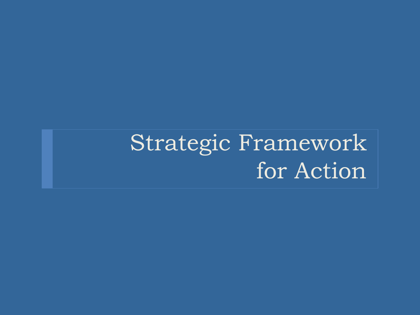# Strategic Framework for Action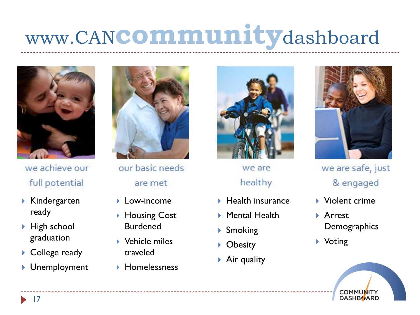# www.CAN**community**dashboard



we achieve our full potential

- Kindergarten ready
- ▶ High school graduation
- ▶ College ready
- ▶ Unemployment



our basic needs are met

- **Low-income**
- ▶ Housing Cost **Burdened**
- Vehicle miles traveled
- **Homelessness**



we are healthy

- $\blacktriangleright$  Health insurance
- ▶ Mental Health
- ▶ Smoking
- ▶ Obesity
- ▶ Air quality



we are safe, just & engaged

- Violent crime
- **Arrest Demographics**
- ▶ Voting

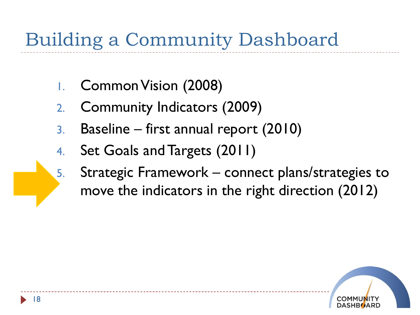# Building a Community Dashboard

- 1. Common Vision (2008)
- 2. Community Indicators (2009)
- 3. Baseline first annual report (2010)
- 4. Set Goals and Targets (2011)
- 5. Strategic Framework connect plans/strategies to move the indicators in the right direction (2012)

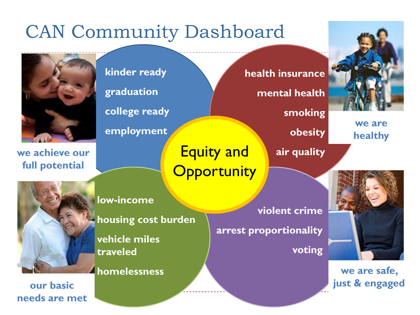#### CAN Community Dashboard



**we achieve our full potential**

**kinder ready**

**graduation**

**college ready**

**employment**

Equity and **Opportunity** 

**health insurance**

**mental health**

**smoking** 

**obesity**

**air quality** 

**healthy**

**low-income**

**housing cost burden vehicle miles traveled**

**homelessness**

19 **our basic needs are met**

**violent crime arrest proportionality**

**voting** 



**we are** 

**we are safe, just & engaged**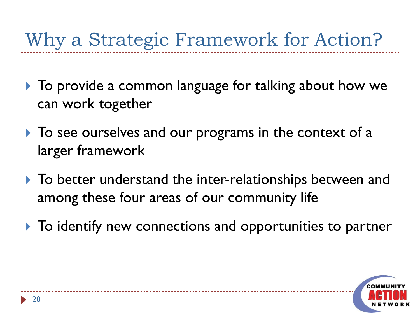### Why a Strategic Framework for Action?

- ▶ To provide a common language for talking about how we can work together
- $\triangleright$  To see ourselves and our programs in the context of a larger framework
- ▶ To better understand the inter-relationships between and among these four areas of our community life
- $\blacktriangleright$  To identify new connections and opportunities to partner

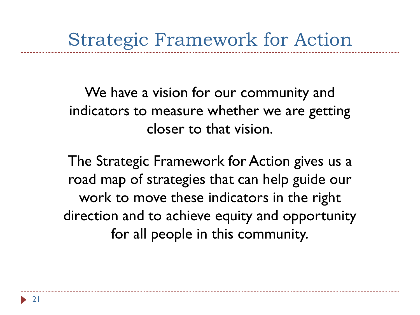Strategic Framework for Action

We have a vision for our community and indicators to measure whether we are getting closer to that vision.

The Strategic Framework for Action gives us a road map of strategies that can help guide our work to move these indicators in the right direction and to achieve equity and opportunity for all people in this community.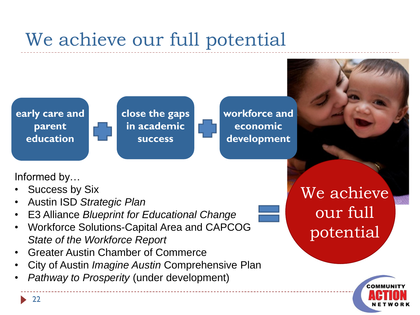#### We achieve our full potential



**close the gaps in academic success**

**workforce and economic development**

Informed by…

- Success by Six
- Austin ISD *Strategic Plan*
- E3 Alliance *Blueprint for Educational Change*
- Workforce Solutions-Capital Area and CAPCOG *State of the Workforce Report*
- Greater Austin Chamber of Commerce
- City of Austin *Imagine Austin* Comprehensive Plan
- *Pathway to Prosperity* (under development)

We achieve our full potential

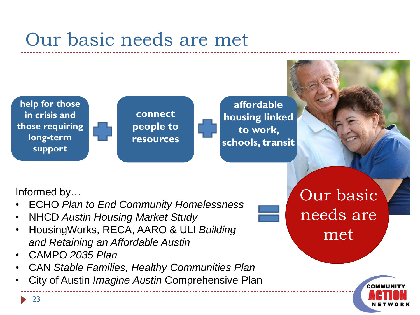#### Our basic needs are met



**connect people to resources**

**affordable housing linked to work, schools, transit**

#### Informed by…

- ECHO *Plan to End Community Homelessness*
- NHCD *Austin Housing Market Study*
- HousingWorks, RECA, AARO & ULI *Building and Retaining an Affordable Austin*
- CAMPO *2035 Plan*
- CAN *Stable Families, Healthy Communities Plan*
- City of Austin *Imagine Austin* Comprehensive Plan

Our basic needs are met

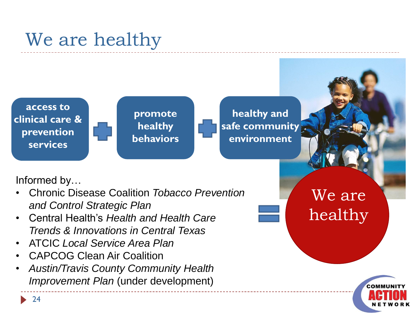#### We are healthy

**access to clinical care & prevention services**

**promote healthy behaviors**

**healthy and safe community environment**

#### Informed by…

- Chronic Disease Coalition *Tobacco Prevention and Control Strategic Plan*
- Central Health's *Health and Health Care Trends & Innovations in Central Texas*
- ATCIC *Local Service Area Plan*
- CAPCOG Clean Air Coalition
- *Austin/Travis County Community Health Improvement Plan* (under development)

We are healthy

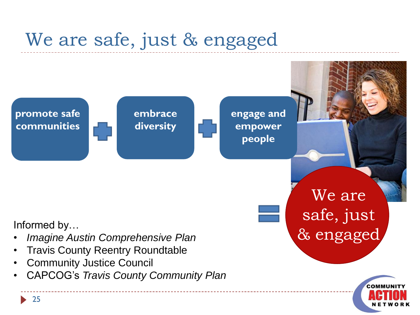#### We are safe, just & engaged

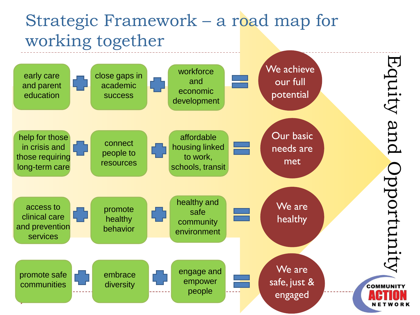#### Strategic Framework – a road map for working together

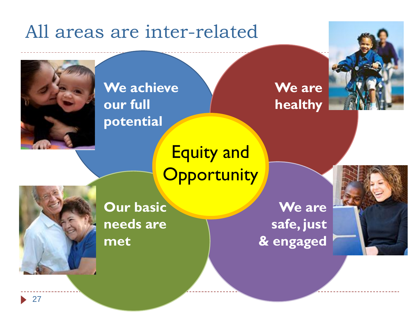#### All areas are inter-related



**We achieve our full potential**

**We are healthy** 



Equity and **Opportunity** 



**Our basic needs are met**

**We are safe, just & engaged**

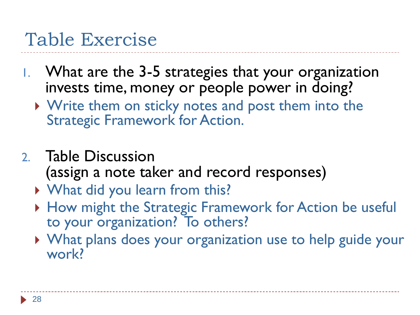#### Table Exercise

- 1. What are the 3-5 strategies that your organization invests time, money or people power in doing?
	- ▶ Write them on sticky notes and post them into the Strategic Framework for Action.
- 2. Table Discussion (assign a note taker and record responses)
	- What did you learn from this?
	- ▶ How might the Strategic Framework for Action be useful to your organization? To others?
	- What plans does your organization use to help guide your work?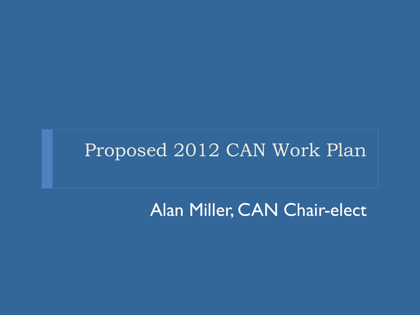#### Proposed 2012 CAN Work Plan

Alan Miller, CAN Chair-elect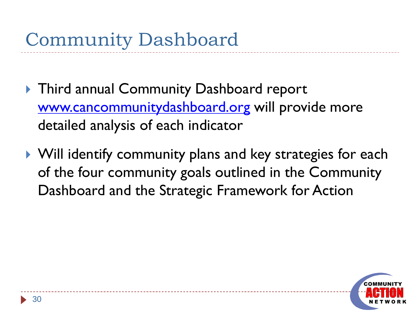- ▶ Third annual Community Dashboard report [www.cancommunitydashboard.org](http://www.cancommunitydashboard.org/) will provide more detailed analysis of each indicator
- ▶ Will identify community plans and key strategies for each of the four community goals outlined in the Community Dashboard and the Strategic Framework for Action

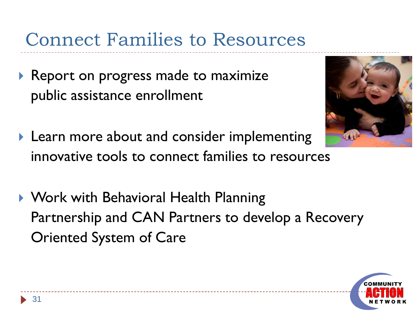Connect Families to Resources

- Report on progress made to maximize public assistance enrollment
- **Learn more about and consider implementing** innovative tools to connect families to resources
- ▶ Work with Behavioral Health Planning Partnership and CAN Partners to develop a Recovery Oriented System of Care



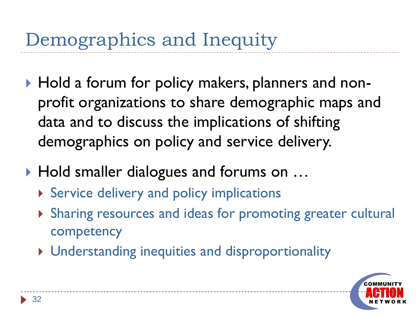- ▶ Hold a forum for policy makers, planners and nonprofit organizations to share demographic maps and data and to discuss the implications of shifting demographics on policy and service delivery.
- ▶ Hold smaller dialogues and forums on ...
	- Service delivery and policy implications
	- Sharing resources and ideas for promoting greater cultural competency
	- Understanding inequities and disproportionality

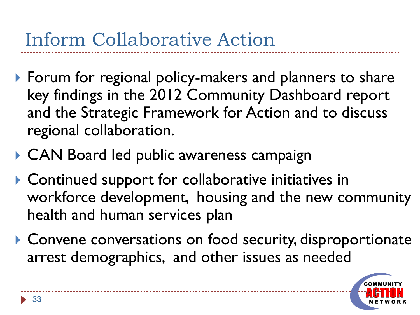### Inform Collaborative Action

- ▶ Forum for regional policy-makers and planners to share key findings in the 2012 Community Dashboard report and the Strategic Framework for Action and to discuss regional collaboration.
- ▶ CAN Board led public awareness campaign
- ▶ Continued support for collaborative initiatives in workforce development, housing and the new community health and human services plan
- ▶ Convene conversations on food security, disproportionate arrest demographics, and other issues as needed

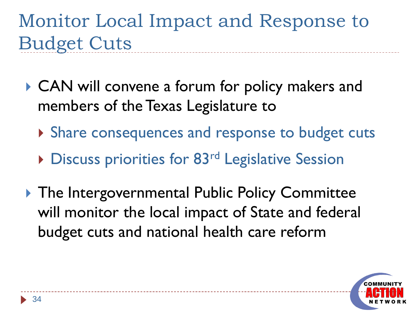Monitor Local Impact and Response to Budget Cuts

- CAN will convene a forum for policy makers and members of the Texas Legislature to
	- ▶ Share consequences and response to budget cuts
	- ▶ Discuss priorities for 83<sup>rd</sup> Legislative Session
- ▶ The Intergovernmental Public Policy Committee will monitor the local impact of State and federal budget cuts and national health care reform

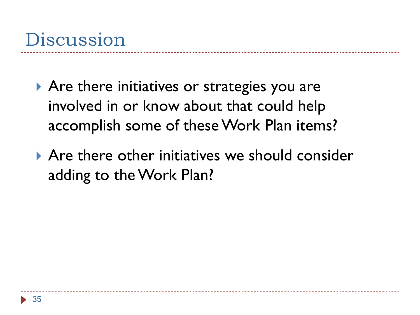- ▶ Are there initiatives or strategies you are involved in or know about that could help accomplish some of these Work Plan items?
- ▶ Are there other initiatives we should consider adding to the Work Plan?